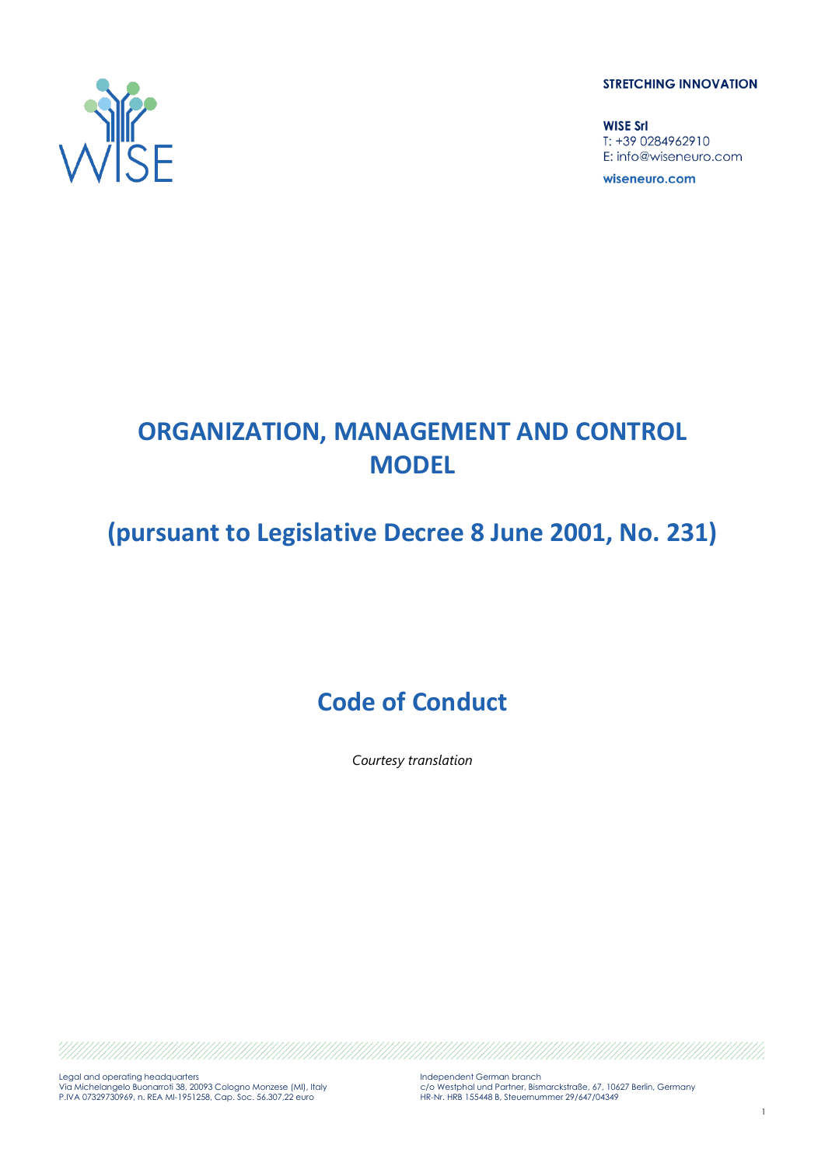**STRETCHING INNOVATION** 

**WISE Srl** T: +39 0284962910 E: info@wiseneuro.com

wiseneuro.com



# **ORGANIZATION, MANAGEMENT AND CONTROL MODEL**

# **(pursuant to Legislative Decree 8 June 2001, No. 231)**

# **Code of Conduct**

*Courtesy translation*

Legal and operating headquarters Via Michelangelo Buonarroti 38, 20093 Cologno Monzese (MI), Italy P.IVA 07329730969, n. REA MI-1951258, Cap. Soc. 56.307,22 euro Independent German branch c/o Westphal und Partner, Bismarckstraße, 67, 10627 Berlin, Germany HR-Nr. HRB 155448 B, Steuernummer 29/647/04349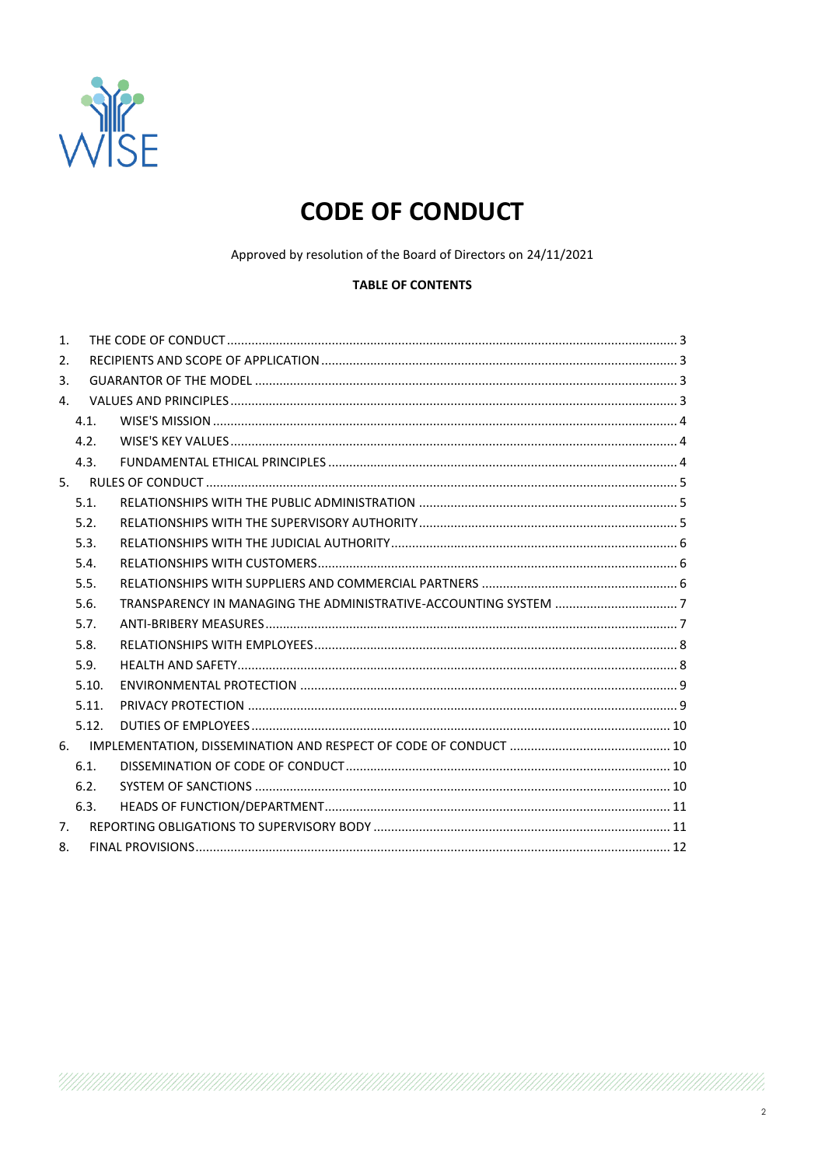

# **CODE OF CONDUCT**

Approved by resolution of the Board of Directors on 24/11/2021

## **TABLE OF CONTENTS**

| 1. |       |  |
|----|-------|--|
| 2. |       |  |
| 3. |       |  |
| 4. |       |  |
|    | 4.1.  |  |
|    | 4.2.  |  |
|    | 4.3.  |  |
|    |       |  |
|    | 5.1.  |  |
|    | 5.2.  |  |
|    | 5.3.  |  |
|    | 5.4.  |  |
|    | 5.5.  |  |
|    | 5.6.  |  |
|    | 5.7.  |  |
|    | 5.8.  |  |
|    | 5.9.  |  |
|    | 5.10. |  |
|    | 5.11. |  |
|    | 5.12. |  |
|    |       |  |
|    | 6.1.  |  |
|    | 6.2.  |  |
|    | 6.3.  |  |
| 7. |       |  |
| 8. |       |  |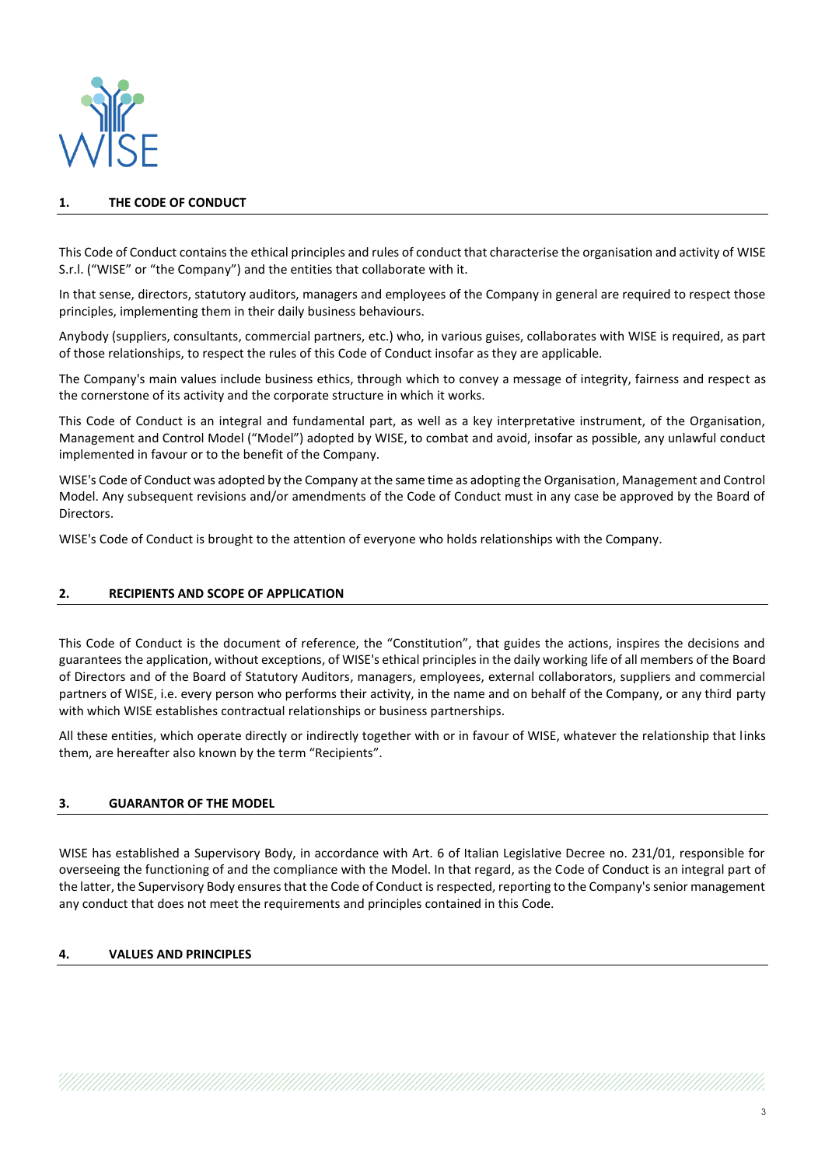

## **1. THE CODE OF CONDUCT**

This Code of Conduct contains the ethical principles and rules of conduct that characterise the organisation and activity of WISE S.r.l. ("WISE" or "the Company") and the entities that collaborate with it.

In that sense, directors, statutory auditors, managers and employees of the Company in general are required to respect those principles, implementing them in their daily business behaviours.

Anybody (suppliers, consultants, commercial partners, etc.) who, in various guises, collaborates with WISE is required, as part of those relationships, to respect the rules of this Code of Conduct insofar as they are applicable.

The Company's main values include business ethics, through which to convey a message of integrity, fairness and respect as the cornerstone of its activity and the corporate structure in which it works.

This Code of Conduct is an integral and fundamental part, as well as a key interpretative instrument, of the Organisation, Management and Control Model ("Model") adopted by WISE, to combat and avoid, insofar as possible, any unlawful conduct implemented in favour or to the benefit of the Company.

WISE's Code of Conduct was adopted by the Company at the same time as adopting the Organisation, Management and Control Model. Any subsequent revisions and/or amendments of the Code of Conduct must in any case be approved by the Board of Directors.

WISE's Code of Conduct is brought to the attention of everyone who holds relationships with the Company.

#### **2. RECIPIENTS AND SCOPE OF APPLICATION**

This Code of Conduct is the document of reference, the "Constitution", that guides the actions, inspires the decisions and guarantees the application, without exceptions, of WISE's ethical principles in the daily working life of all members of the Board of Directors and of the Board of Statutory Auditors, managers, employees, external collaborators, suppliers and commercial partners of WISE, i.e. every person who performs their activity, in the name and on behalf of the Company, or any third party with which WISE establishes contractual relationships or business partnerships.

All these entities, which operate directly or indirectly together with or in favour of WISE, whatever the relationship that links them, are hereafter also known by the term "Recipients".

#### **3. GUARANTOR OF THE MODEL**

WISE has established a Supervisory Body, in accordance with Art. 6 of Italian Legislative Decree no. 231/01, responsible for overseeing the functioning of and the compliance with the Model. In that regard, as the Code of Conduct is an integral part of the latter, the Supervisory Body ensures that the Code of Conduct is respected, reporting to the Company's senior management any conduct that does not meet the requirements and principles contained in this Code.

#### **4. VALUES AND PRINCIPLES**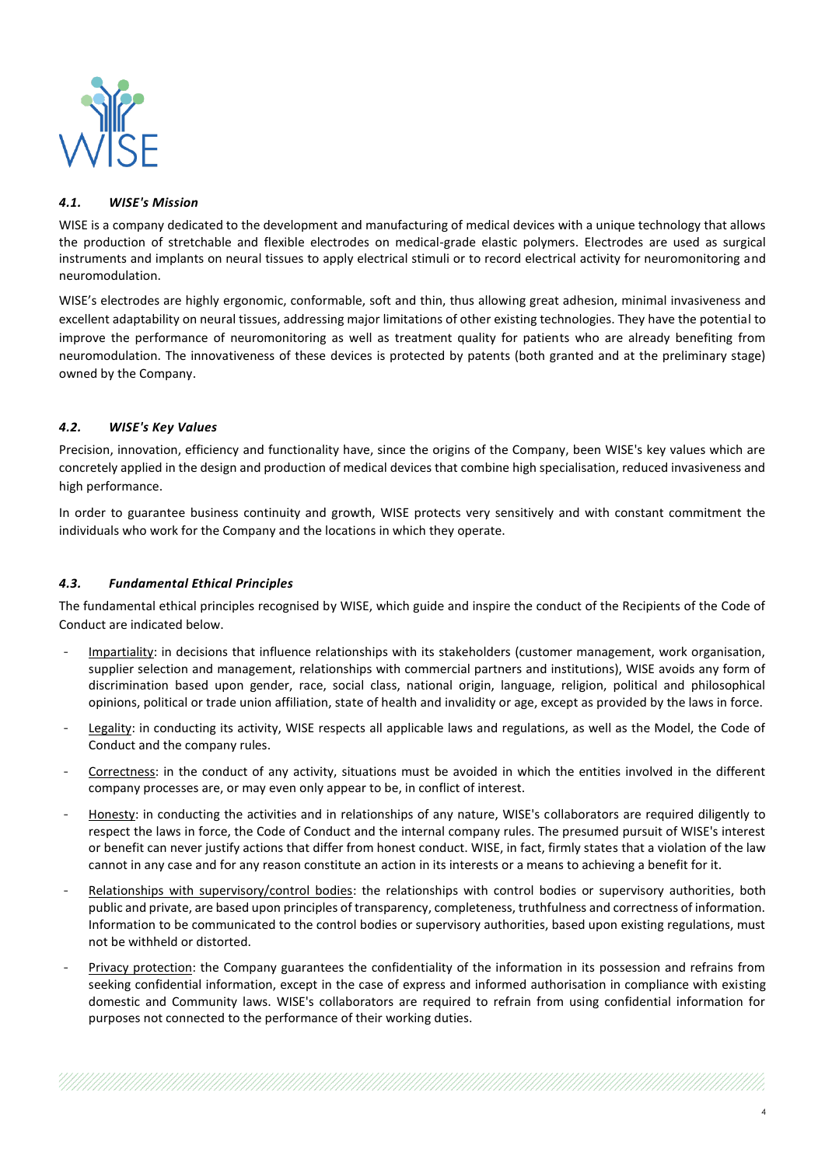

## *4.1. WISE's Mission*

WISE is a company dedicated to the development and manufacturing of medical devices with a unique technology that allows the production of stretchable and flexible electrodes on medical-grade elastic polymers. Electrodes are used as surgical instruments and implants on neural tissues to apply electrical stimuli or to record electrical activity for neuromonitoring and neuromodulation.

WISE's electrodes are highly ergonomic, conformable, soft and thin, thus allowing great adhesion, minimal invasiveness and excellent adaptability on neural tissues, addressing major limitations of other existing technologies. They have the potential to improve the performance of neuromonitoring as well as treatment quality for patients who are already benefiting from neuromodulation. The innovativeness of these devices is protected by patents (both granted and at the preliminary stage) owned by the Company.

## *4.2. WISE's Key Values*

Precision, innovation, efficiency and functionality have, since the origins of the Company, been WISE's key values which are concretely applied in the design and production of medical devices that combine high specialisation, reduced invasiveness and high performance.

In order to guarantee business continuity and growth, WISE protects very sensitively and with constant commitment the individuals who work for the Company and the locations in which they operate.

## *4.3. Fundamental Ethical Principles*

The fundamental ethical principles recognised by WISE, which guide and inspire the conduct of the Recipients of the Code of Conduct are indicated below.

- Impartiality: in decisions that influence relationships with its stakeholders (customer management, work organisation, supplier selection and management, relationships with commercial partners and institutions), WISE avoids any form of discrimination based upon gender, race, social class, national origin, language, religion, political and philosophical opinions, political or trade union affiliation, state of health and invalidity or age, except as provided by the laws in force.
- Legality: in conducting its activity, WISE respects all applicable laws and regulations, as well as the Model, the Code of Conduct and the company rules.
- Correctness: in the conduct of any activity, situations must be avoided in which the entities involved in the different company processes are, or may even only appear to be, in conflict of interest.
- Honesty: in conducting the activities and in relationships of any nature, WISE's collaborators are required diligently to respect the laws in force, the Code of Conduct and the internal company rules. The presumed pursuit of WISE's interest or benefit can never justify actions that differ from honest conduct. WISE, in fact, firmly states that a violation of the law cannot in any case and for any reason constitute an action in its interests or a means to achieving a benefit for it.
- Relationships with supervisory/control bodies: the relationships with control bodies or supervisory authorities, both public and private, are based upon principles of transparency, completeness, truthfulness and correctness of information. Information to be communicated to the control bodies or supervisory authorities, based upon existing regulations, must not be withheld or distorted.
- Privacy protection: the Company guarantees the confidentiality of the information in its possession and refrains from seeking confidential information, except in the case of express and informed authorisation in compliance with existing domestic and Community laws. WISE's collaborators are required to refrain from using confidential information for purposes not connected to the performance of their working duties.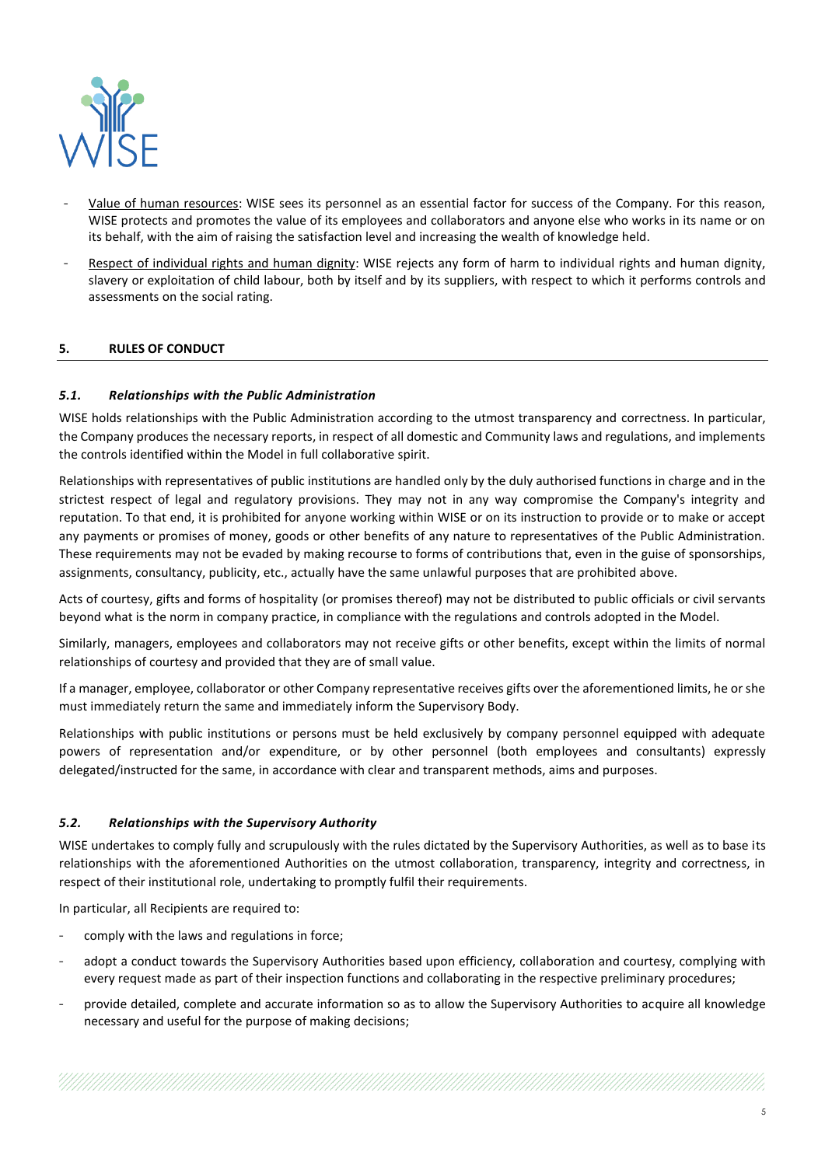

- Value of human resources: WISE sees its personnel as an essential factor for success of the Company. For this reason, WISE protects and promotes the value of its employees and collaborators and anyone else who works in its name or on its behalf, with the aim of raising the satisfaction level and increasing the wealth of knowledge held.
- Respect of individual rights and human dignity: WISE rejects any form of harm to individual rights and human dignity, slavery or exploitation of child labour, both by itself and by its suppliers, with respect to which it performs controls and assessments on the social rating.

## **5. RULES OF CONDUCT**

## *5.1. Relationships with the Public Administration*

WISE holds relationships with the Public Administration according to the utmost transparency and correctness. In particular, the Company produces the necessary reports, in respect of all domestic and Community laws and regulations, and implements the controls identified within the Model in full collaborative spirit.

Relationships with representatives of public institutions are handled only by the duly authorised functions in charge and in the strictest respect of legal and regulatory provisions. They may not in any way compromise the Company's integrity and reputation. To that end, it is prohibited for anyone working within WISE or on its instruction to provide or to make or accept any payments or promises of money, goods or other benefits of any nature to representatives of the Public Administration. These requirements may not be evaded by making recourse to forms of contributions that, even in the guise of sponsorships, assignments, consultancy, publicity, etc., actually have the same unlawful purposes that are prohibited above.

Acts of courtesy, gifts and forms of hospitality (or promises thereof) may not be distributed to public officials or civil servants beyond what is the norm in company practice, in compliance with the regulations and controls adopted in the Model.

Similarly, managers, employees and collaborators may not receive gifts or other benefits, except within the limits of normal relationships of courtesy and provided that they are of small value.

If a manager, employee, collaborator or other Company representative receives gifts over the aforementioned limits, he or she must immediately return the same and immediately inform the Supervisory Body.

Relationships with public institutions or persons must be held exclusively by company personnel equipped with adequate powers of representation and/or expenditure, or by other personnel (both employees and consultants) expressly delegated/instructed for the same, in accordance with clear and transparent methods, aims and purposes.

#### *5.2. Relationships with the Supervisory Authority*

WISE undertakes to comply fully and scrupulously with the rules dictated by the Supervisory Authorities, as well as to base its relationships with the aforementioned Authorities on the utmost collaboration, transparency, integrity and correctness, in respect of their institutional role, undertaking to promptly fulfil their requirements.

In particular, all Recipients are required to:

- comply with the laws and regulations in force;
- adopt a conduct towards the Supervisory Authorities based upon efficiency, collaboration and courtesy, complying with every request made as part of their inspection functions and collaborating in the respective preliminary procedures;
- provide detailed, complete and accurate information so as to allow the Supervisory Authorities to acquire all knowledge necessary and useful for the purpose of making decisions;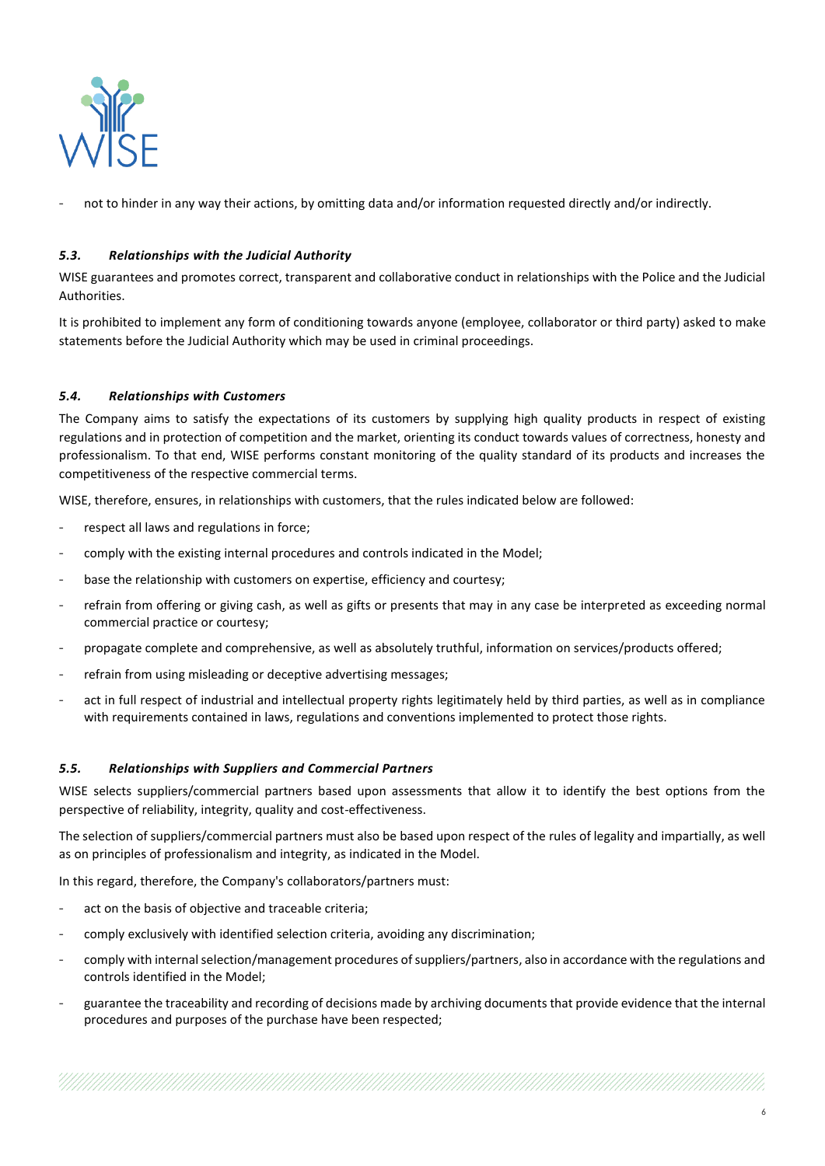

not to hinder in any way their actions, by omitting data and/or information requested directly and/or indirectly.

## *5.3. Relationships with the Judicial Authority*

WISE guarantees and promotes correct, transparent and collaborative conduct in relationships with the Police and the Judicial Authorities.

It is prohibited to implement any form of conditioning towards anyone (employee, collaborator or third party) asked to make statements before the Judicial Authority which may be used in criminal proceedings.

## *5.4. Relationships with Customers*

The Company aims to satisfy the expectations of its customers by supplying high quality products in respect of existing regulations and in protection of competition and the market, orienting its conduct towards values of correctness, honesty and professionalism. To that end, WISE performs constant monitoring of the quality standard of its products and increases the competitiveness of the respective commercial terms.

WISE, therefore, ensures, in relationships with customers, that the rules indicated below are followed:

- respect all laws and regulations in force;
- comply with the existing internal procedures and controls indicated in the Model;
- base the relationship with customers on expertise, efficiency and courtesy;
- refrain from offering or giving cash, as well as gifts or presents that may in any case be interpreted as exceeding normal commercial practice or courtesy;
- propagate complete and comprehensive, as well as absolutely truthful, information on services/products offered;
- refrain from using misleading or deceptive advertising messages;
- act in full respect of industrial and intellectual property rights legitimately held by third parties, as well as in compliance with requirements contained in laws, regulations and conventions implemented to protect those rights.

#### *5.5. Relationships with Suppliers and Commercial Partners*

WISE selects suppliers/commercial partners based upon assessments that allow it to identify the best options from the perspective of reliability, integrity, quality and cost-effectiveness.

The selection of suppliers/commercial partners must also be based upon respect of the rules of legality and impartially, as well as on principles of professionalism and integrity, as indicated in the Model.

In this regard, therefore, the Company's collaborators/partners must:

- act on the basis of objective and traceable criteria;
- comply exclusively with identified selection criteria, avoiding any discrimination;
- comply with internal selection/management procedures of suppliers/partners, also in accordance with the regulations and controls identified in the Model;
- guarantee the traceability and recording of decisions made by archiving documents that provide evidence that the internal procedures and purposes of the purchase have been respected;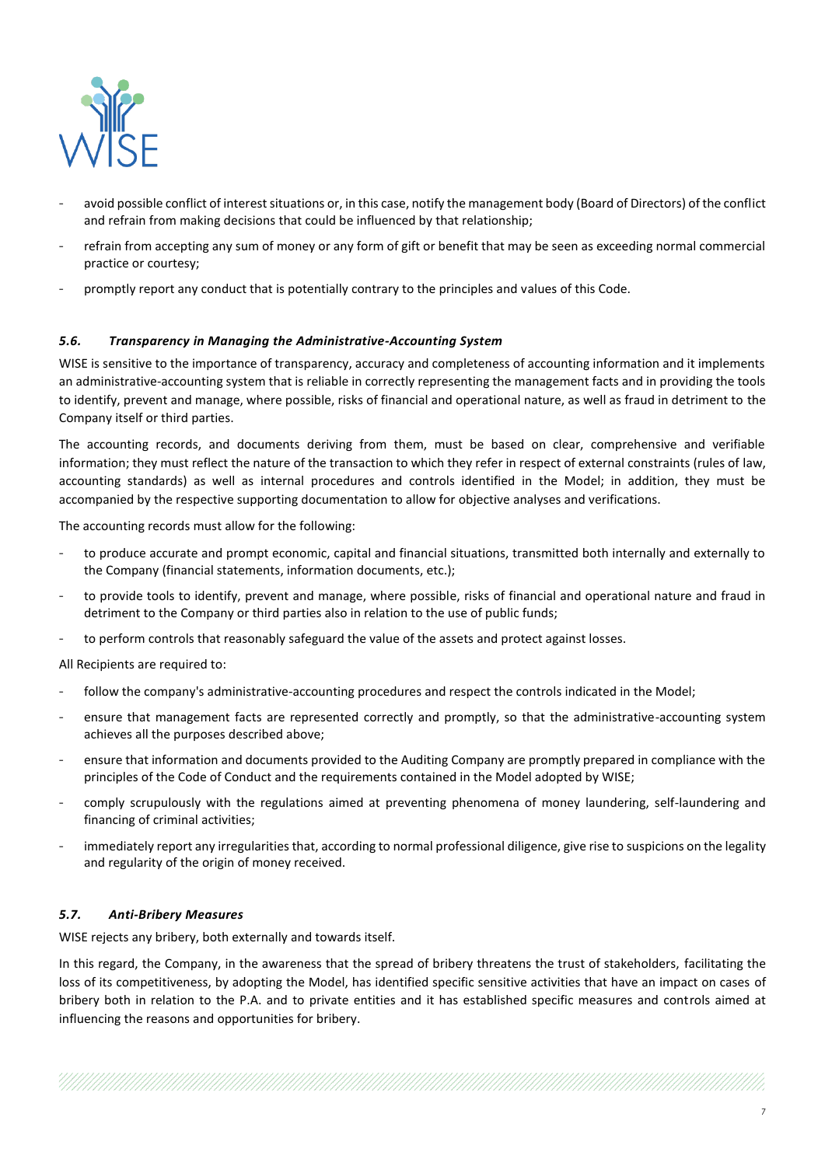

- avoid possible conflict of interest situations or, in this case, notify the management body (Board of Directors) of the conflict and refrain from making decisions that could be influenced by that relationship;
- refrain from accepting any sum of money or any form of gift or benefit that may be seen as exceeding normal commercial practice or courtesy;
- promptly report any conduct that is potentially contrary to the principles and values of this Code.

#### *5.6. Transparency in Managing the Administrative-Accounting System*

WISE is sensitive to the importance of transparency, accuracy and completeness of accounting information and it implements an administrative-accounting system that is reliable in correctly representing the management facts and in providing the tools to identify, prevent and manage, where possible, risks of financial and operational nature, as well as fraud in detriment to the Company itself or third parties.

The accounting records, and documents deriving from them, must be based on clear, comprehensive and verifiable information; they must reflect the nature of the transaction to which they refer in respect of external constraints (rules of law, accounting standards) as well as internal procedures and controls identified in the Model; in addition, they must be accompanied by the respective supporting documentation to allow for objective analyses and verifications.

The accounting records must allow for the following:

- to produce accurate and prompt economic, capital and financial situations, transmitted both internally and externally to the Company (financial statements, information documents, etc.);
- to provide tools to identify, prevent and manage, where possible, risks of financial and operational nature and fraud in detriment to the Company or third parties also in relation to the use of public funds;
- to perform controls that reasonably safeguard the value of the assets and protect against losses.

All Recipients are required to:

- follow the company's administrative-accounting procedures and respect the controls indicated in the Model;
- ensure that management facts are represented correctly and promptly, so that the administrative-accounting system achieves all the purposes described above;
- ensure that information and documents provided to the Auditing Company are promptly prepared in compliance with the principles of the Code of Conduct and the requirements contained in the Model adopted by WISE;
- comply scrupulously with the regulations aimed at preventing phenomena of money laundering, self-laundering and financing of criminal activities;
- immediately report any irregularities that, according to normal professional diligence, give rise to suspicions on the legality and regularity of the origin of money received.

#### *5.7. Anti-Bribery Measures*

WISE rejects any bribery, both externally and towards itself.

In this regard, the Company, in the awareness that the spread of bribery threatens the trust of stakeholders, facilitating the loss of its competitiveness, by adopting the Model, has identified specific sensitive activities that have an impact on cases of bribery both in relation to the P.A. and to private entities and it has established specific measures and controls aimed at influencing the reasons and opportunities for bribery.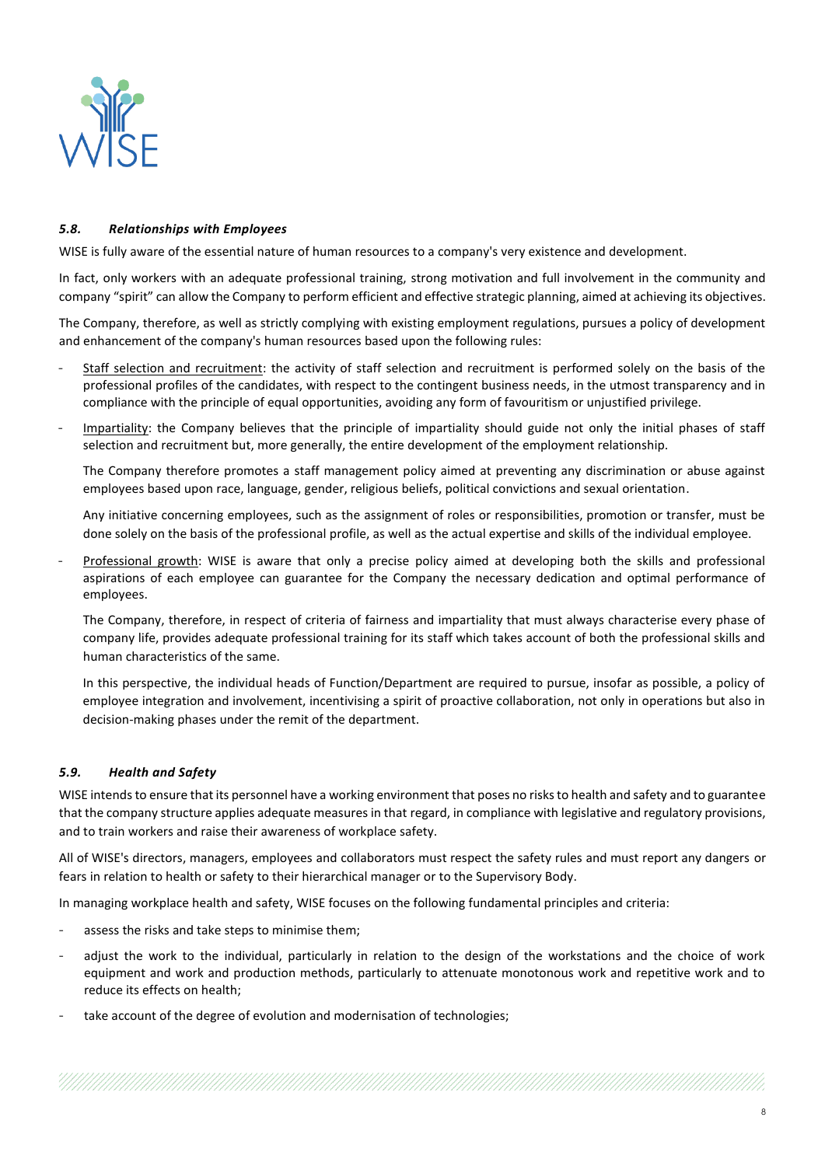

## *5.8. Relationships with Employees*

WISE is fully aware of the essential nature of human resources to a company's very existence and development.

In fact, only workers with an adequate professional training, strong motivation and full involvement in the community and company "spirit" can allow the Company to perform efficient and effective strategic planning, aimed at achieving its objectives.

The Company, therefore, as well as strictly complying with existing employment regulations, pursues a policy of development and enhancement of the company's human resources based upon the following rules:

- Staff selection and recruitment: the activity of staff selection and recruitment is performed solely on the basis of the professional profiles of the candidates, with respect to the contingent business needs, in the utmost transparency and in compliance with the principle of equal opportunities, avoiding any form of favouritism or unjustified privilege.
- Impartiality: the Company believes that the principle of impartiality should guide not only the initial phases of staff selection and recruitment but, more generally, the entire development of the employment relationship.

The Company therefore promotes a staff management policy aimed at preventing any discrimination or abuse against employees based upon race, language, gender, religious beliefs, political convictions and sexual orientation.

Any initiative concerning employees, such as the assignment of roles or responsibilities, promotion or transfer, must be done solely on the basis of the professional profile, as well as the actual expertise and skills of the individual employee.

Professional growth: WISE is aware that only a precise policy aimed at developing both the skills and professional aspirations of each employee can guarantee for the Company the necessary dedication and optimal performance of employees.

The Company, therefore, in respect of criteria of fairness and impartiality that must always characterise every phase of company life, provides adequate professional training for its staff which takes account of both the professional skills and human characteristics of the same.

In this perspective, the individual heads of Function/Department are required to pursue, insofar as possible, a policy of employee integration and involvement, incentivising a spirit of proactive collaboration, not only in operations but also in decision-making phases under the remit of the department.

## *5.9. Health and Safety*

WISE intends to ensure that its personnel have a working environment that poses no risks to health and safety and to guarantee that the company structure applies adequate measures in that regard, in compliance with legislative and regulatory provisions, and to train workers and raise their awareness of workplace safety.

All of WISE's directors, managers, employees and collaborators must respect the safety rules and must report any dangers or fears in relation to health or safety to their hierarchical manager or to the Supervisory Body.

In managing workplace health and safety, WISE focuses on the following fundamental principles and criteria:

- assess the risks and take steps to minimise them;
- adjust the work to the individual, particularly in relation to the design of the workstations and the choice of work equipment and work and production methods, particularly to attenuate monotonous work and repetitive work and to reduce its effects on health;
- take account of the degree of evolution and modernisation of technologies;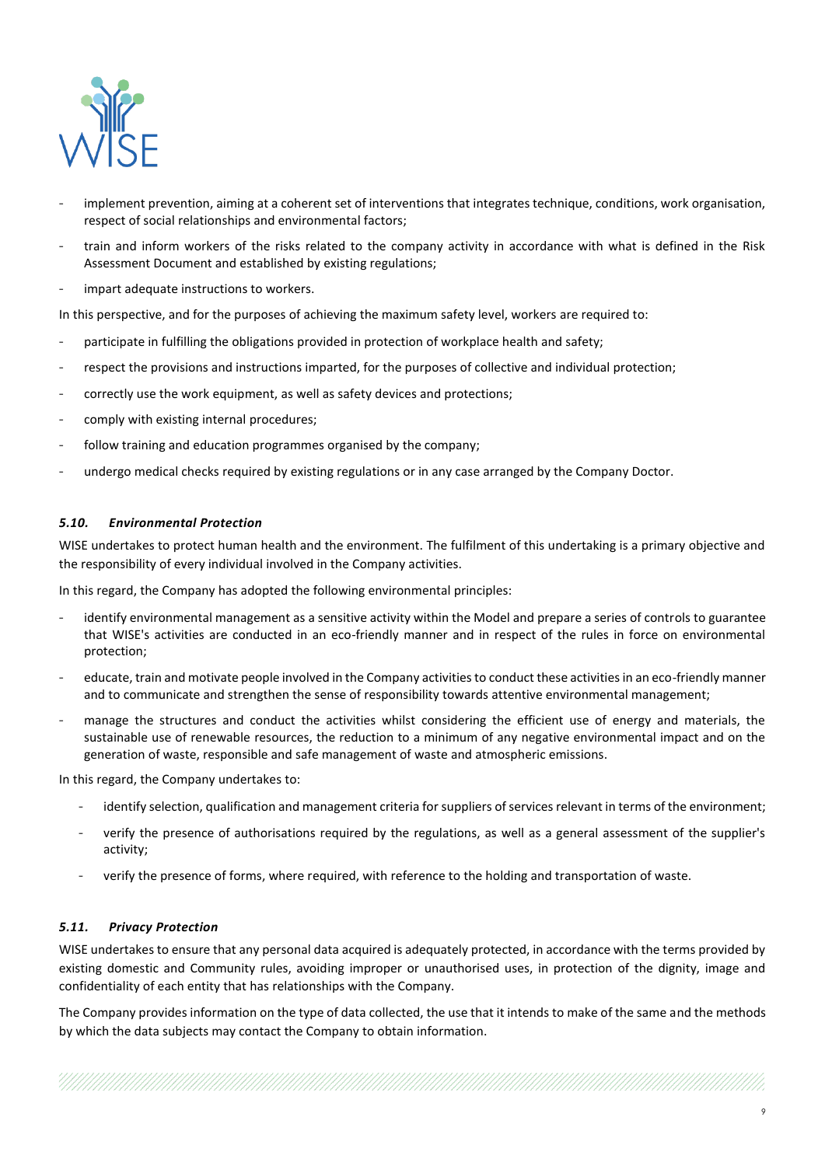

- implement prevention, aiming at a coherent set of interventions that integrates technique, conditions, work organisation, respect of social relationships and environmental factors;
- train and inform workers of the risks related to the company activity in accordance with what is defined in the Risk Assessment Document and established by existing regulations;
- impart adequate instructions to workers.

In this perspective, and for the purposes of achieving the maximum safety level, workers are required to:

- participate in fulfilling the obligations provided in protection of workplace health and safety;
- respect the provisions and instructions imparted, for the purposes of collective and individual protection;
- correctly use the work equipment, as well as safety devices and protections;
- comply with existing internal procedures:
- follow training and education programmes organised by the company;
- undergo medical checks required by existing regulations or in any case arranged by the Company Doctor.

#### *5.10. Environmental Protection*

WISE undertakes to protect human health and the environment. The fulfilment of this undertaking is a primary objective and the responsibility of every individual involved in the Company activities.

In this regard, the Company has adopted the following environmental principles:

- identify environmental management as a sensitive activity within the Model and prepare a series of controls to guarantee that WISE's activities are conducted in an eco-friendly manner and in respect of the rules in force on environmental protection;
- educate, train and motivate people involved in the Company activities to conduct these activities in an eco-friendly manner and to communicate and strengthen the sense of responsibility towards attentive environmental management;
- manage the structures and conduct the activities whilst considering the efficient use of energy and materials, the sustainable use of renewable resources, the reduction to a minimum of any negative environmental impact and on the generation of waste, responsible and safe management of waste and atmospheric emissions.

In this regard, the Company undertakes to:

- identify selection, qualification and management criteria for suppliers of services relevant in terms of the environment;
- verify the presence of authorisations required by the regulations, as well as a general assessment of the supplier's activity;
- verify the presence of forms, where required, with reference to the holding and transportation of waste.

#### *5.11. Privacy Protection*

WISE undertakes to ensure that any personal data acquired is adequately protected, in accordance with the terms provided by existing domestic and Community rules, avoiding improper or unauthorised uses, in protection of the dignity, image and confidentiality of each entity that has relationships with the Company.

The Company provides information on the type of data collected, the use that it intends to make of the same and the methods by which the data subjects may contact the Company to obtain information.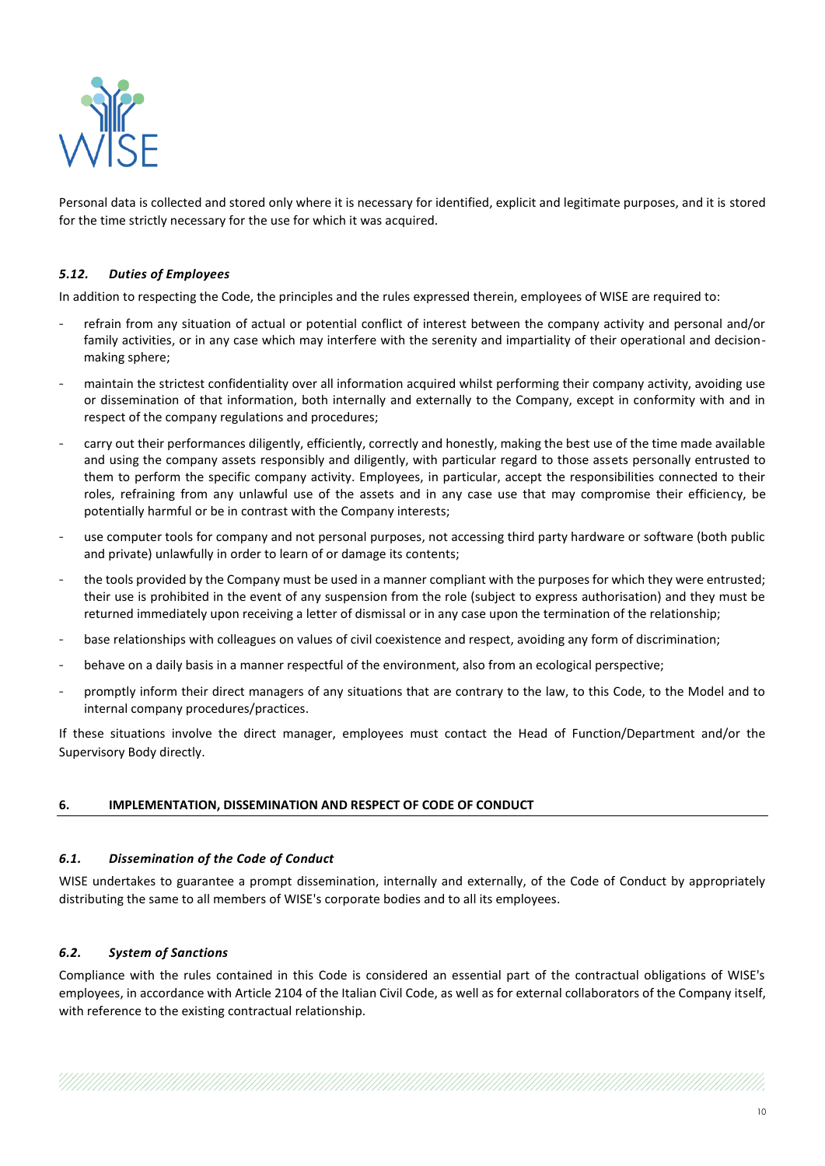

Personal data is collected and stored only where it is necessary for identified, explicit and legitimate purposes, and it is stored for the time strictly necessary for the use for which it was acquired.

## *5.12. Duties of Employees*

In addition to respecting the Code, the principles and the rules expressed therein, employees of WISE are required to:

- refrain from any situation of actual or potential conflict of interest between the company activity and personal and/or family activities, or in any case which may interfere with the serenity and impartiality of their operational and decisionmaking sphere;
- maintain the strictest confidentiality over all information acquired whilst performing their company activity, avoiding use or dissemination of that information, both internally and externally to the Company, except in conformity with and in respect of the company regulations and procedures;
- carry out their performances diligently, efficiently, correctly and honestly, making the best use of the time made available and using the company assets responsibly and diligently, with particular regard to those assets personally entrusted to them to perform the specific company activity. Employees, in particular, accept the responsibilities connected to their roles, refraining from any unlawful use of the assets and in any case use that may compromise their efficiency, be potentially harmful or be in contrast with the Company interests;
- use computer tools for company and not personal purposes, not accessing third party hardware or software (both public and private) unlawfully in order to learn of or damage its contents;
- the tools provided by the Company must be used in a manner compliant with the purposes for which they were entrusted; their use is prohibited in the event of any suspension from the role (subject to express authorisation) and they must be returned immediately upon receiving a letter of dismissal or in any case upon the termination of the relationship;
- base relationships with colleagues on values of civil coexistence and respect, avoiding any form of discrimination;
- behave on a daily basis in a manner respectful of the environment, also from an ecological perspective;
- promptly inform their direct managers of any situations that are contrary to the law, to this Code, to the Model and to internal company procedures/practices.

If these situations involve the direct manager, employees must contact the Head of Function/Department and/or the Supervisory Body directly.

#### **6. IMPLEMENTATION, DISSEMINATION AND RESPECT OF CODE OF CONDUCT**

#### *6.1. Dissemination of the Code of Conduct*

WISE undertakes to guarantee a prompt dissemination, internally and externally, of the Code of Conduct by appropriately distributing the same to all members of WISE's corporate bodies and to all its employees.

#### *6.2. System of Sanctions*

Compliance with the rules contained in this Code is considered an essential part of the contractual obligations of WISE's employees, in accordance with Article 2104 of the Italian Civil Code, as well as for external collaborators of the Company itself, with reference to the existing contractual relationship.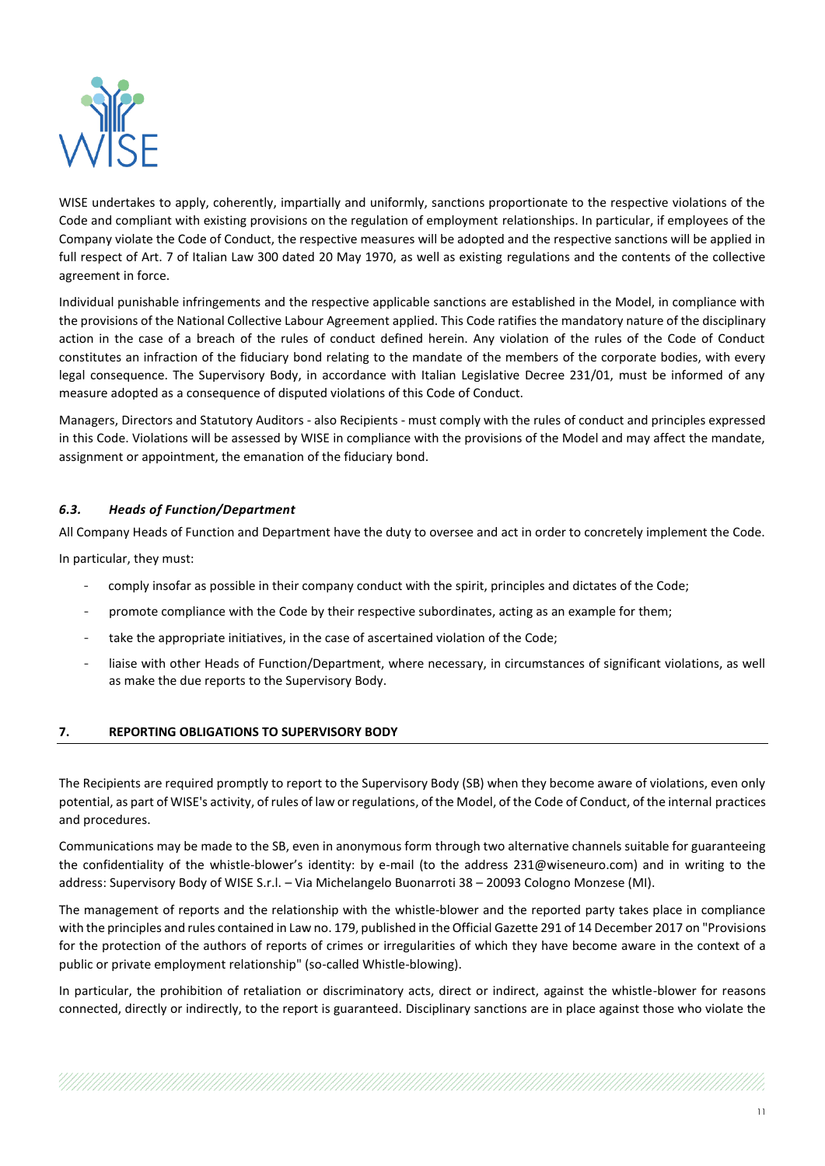

WISE undertakes to apply, coherently, impartially and uniformly, sanctions proportionate to the respective violations of the Code and compliant with existing provisions on the regulation of employment relationships. In particular, if employees of the Company violate the Code of Conduct, the respective measures will be adopted and the respective sanctions will be applied in full respect of Art. 7 of Italian Law 300 dated 20 May 1970, as well as existing regulations and the contents of the collective agreement in force.

Individual punishable infringements and the respective applicable sanctions are established in the Model, in compliance with the provisions of the National Collective Labour Agreement applied. This Code ratifies the mandatory nature of the disciplinary action in the case of a breach of the rules of conduct defined herein. Any violation of the rules of the Code of Conduct constitutes an infraction of the fiduciary bond relating to the mandate of the members of the corporate bodies, with every legal consequence. The Supervisory Body, in accordance with Italian Legislative Decree 231/01, must be informed of any measure adopted as a consequence of disputed violations of this Code of Conduct.

Managers, Directors and Statutory Auditors - also Recipients - must comply with the rules of conduct and principles expressed in this Code. Violations will be assessed by WISE in compliance with the provisions of the Model and may affect the mandate, assignment or appointment, the emanation of the fiduciary bond.

## *6.3. Heads of Function/Department*

All Company Heads of Function and Department have the duty to oversee and act in order to concretely implement the Code.

In particular, they must:

- comply insofar as possible in their company conduct with the spirit, principles and dictates of the Code;
- promote compliance with the Code by their respective subordinates, acting as an example for them;
- take the appropriate initiatives, in the case of ascertained violation of the Code;
- liaise with other Heads of Function/Department, where necessary, in circumstances of significant violations, as well as make the due reports to the Supervisory Body.

## **7. REPORTING OBLIGATIONS TO SUPERVISORY BODY**

The Recipients are required promptly to report to the Supervisory Body (SB) when they become aware of violations, even only potential, as part of WISE's activity, of rules of law or regulations, of the Model, of the Code of Conduct, of the internal practices and procedures.

Communications may be made to the SB, even in anonymous form through two alternative channels suitable for guaranteeing the confidentiality of the whistle-blower's identity: by e-mail (to the address 231@wiseneuro.com) and in writing to the address: Supervisory Body of WISE S.r.l. – Via Michelangelo Buonarroti 38 – 20093 Cologno Monzese (MI).

The management of reports and the relationship with the whistle-blower and the reported party takes place in compliance with the principles and rules contained in Law no. 179, published in the Official Gazette 291 of 14 December 2017 on "Provisions for the protection of the authors of reports of crimes or irregularities of which they have become aware in the context of a public or private employment relationship" (so-called Whistle-blowing).

In particular, the prohibition of retaliation or discriminatory acts, direct or indirect, against the whistle-blower for reasons connected, directly or indirectly, to the report is guaranteed. Disciplinary sanctions are in place against those who violate the